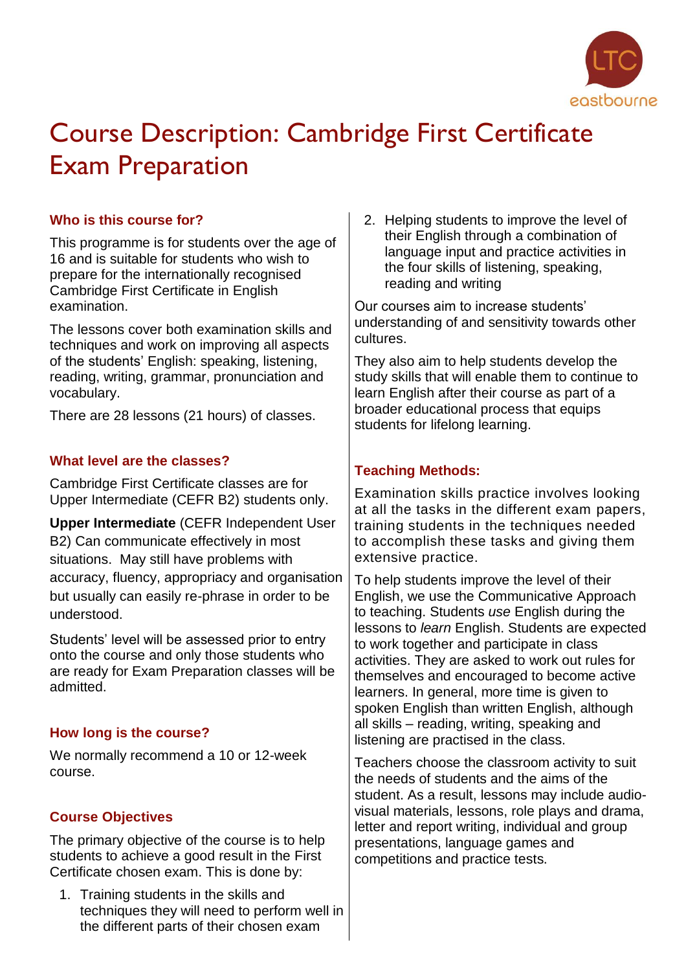

# Course Description: Cambridge First Certificate Exam Preparation

## **Who is this course for?**

This programme is for students over the age of 16 and is suitable for students who wish to prepare for the internationally recognised Cambridge First Certificate in English examination.

The lessons cover both examination skills and techniques and work on improving all aspects of the students' English: speaking, listening, reading, writing, grammar, pronunciation and vocabulary.

There are 28 lessons (21 hours) of classes.

## **What level are the classes?**

Cambridge First Certificate classes are for Upper Intermediate (CEFR B2) students only.

**Upper Intermediate** (CEFR Independent User B2) Can communicate effectively in most situations. May still have problems with accuracy, fluency, appropriacy and organisation but usually can easily re-phrase in order to be understood.

Students' level will be assessed prior to entry onto the course and only those students who are ready for Exam Preparation classes will be admitted.

## **How long is the course?**

We normally recommend a 10 or 12-week course.

# **Course Objectives**

The primary objective of the course is to help students to achieve a good result in the First Certificate chosen exam. This is done by:

1. Training students in the skills and techniques they will need to perform well in the different parts of their chosen exam

2. Helping students to improve the level of their English through a combination of language input and practice activities in the four skills of listening, speaking, reading and writing

Our courses aim to increase students' understanding of and sensitivity towards other cultures.

They also aim to help students develop the study skills that will enable them to continue to learn English after their course as part of a broader educational process that equips students for lifelong learning.

# **Teaching Methods:**

Examination skills practice involves looking at all the tasks in the different exam papers, training students in the techniques needed to accomplish these tasks and giving them extensive practice.

To help students improve the level of their English, we use the Communicative Approach to teaching. Students *use* English during the lessons to *learn* English. Students are expected to work together and participate in class activities. They are asked to work out rules for themselves and encouraged to become active learners. In general, more time is given to spoken English than written English, although all skills – reading, writing, speaking and listening are practised in the class.

Teachers choose the classroom activity to suit the needs of students and the aims of the student. As a result, lessons may include audiovisual materials, lessons, role plays and drama, letter and report writing, individual and group presentations, language games and competitions and practice tests.